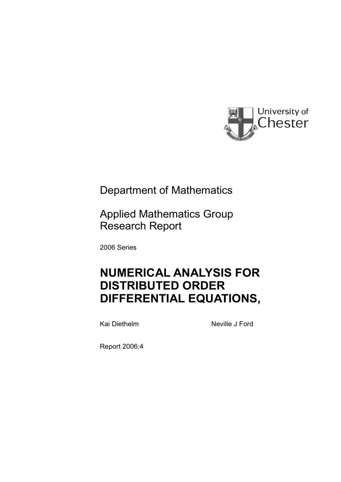

## Department of Mathematics

Applied Mathematics Group Research Report

2006 Series

# **NUMERICAL ANALYSIS FOR DISTRIBUTED ORDER DIFFERENTIAL EQUATIONS,**

Kai Diethelm Neville J Ford

Report 2006:4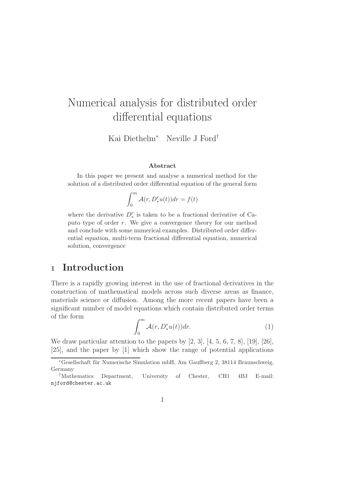# Numerical analysis for distributed order differential equations

Kai Diethelm<sup>∗</sup> Neville J Ford†

#### Abstract

In this paper we present and analyse a numerical method for the solution of a distributed order differential equation of the general form

$$
\int_0^m \mathcal{A}(r, D_*^r u(t)) dr = f(t)
$$

where the derivative  $D_*^r$  is taken to be a fractional derivative of Caputo type of order r. We give a convergence theory for our method and conclude with some numerical examples. Distributed order differential equation, multi-term fractional differential equation, numerical solution, convergence

## <sup>1</sup> Introduction

There is a rapidly growing interest in the use of fractional derivatives in the construction of mathematical models across such diverse areas as finance, materials science or diffusion. Among the more recent papers have been a significant number of model equations which contain distributed order terms of the form

$$
\int_0^m \mathcal{A}(r, D_*^r u(t)) dr.
$$
 (1)

We draw particular attention to the papers by [2, 3], [4, 5, 6, 7, 8], [19], [26], [25], and the paper by [1] which show the range of potential applications

<sup>∗</sup>Gesellschaft f¨ur Numerische Simulation mbH, Am Gaußberg 2, 38114 Braunschweig, Germany

<sup>†</sup>Mathematics Department, University of Chester, CH1 4BJ E-mail: njford@chester.ac.uk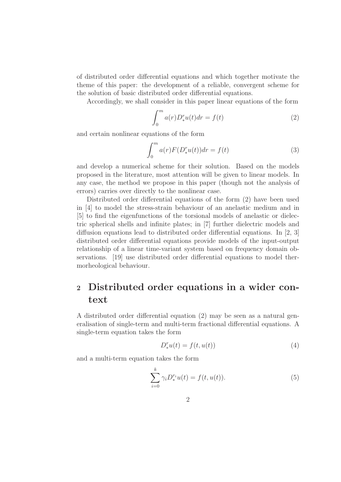of distributed order differential equations and which together motivate the theme of this paper: the development of a reliable, convergent scheme for the solution of basic distributed order differential equations.

Accordingly, we shall consider in this paper linear equations of the form

$$
\int_0^m a(r)D_*^r u(t)dr = f(t)
$$
\n(2)

and certain nonlinear equations of the form

$$
\int_0^m a(r) F(D_*^r u(t)) dr = f(t)
$$
\n(3)

and develop a numerical scheme for their solution. Based on the models proposed in the literature, most attention will be given to linear models. In any case, the method we propose in this paper (though not the analysis of errors) carries over directly to the nonlinear case.

Distributed order differential equations of the form (2) have been used in [4] to model the stress-strain behaviour of an anelastic medium and in [5] to find the eigenfunctions of the torsional models of anelastic or dielectric spherical shells and infinite plates; in [7] further dielectric models and diffusion equations lead to distributed order differential equations. In  $\vert 2, 3 \vert$ distributed order differential equations provide models of the input-output relationship of a linear time-variant system based on frequency domain observations. [19] use distributed order differential equations to model thermorheological behaviour.

## <sup>2</sup> Distributed order equations in a wider context

A distributed order differential equation (2) may be seen as a natural generalisation of single-term and multi-term fractional differential equations. A single-term equation takes the form

$$
D_*^r u(t) = f(t, u(t))
$$
\n(4)

and a multi-term equation takes the form

$$
\sum_{i=0}^{k} \gamma_i D_*^{r_i} u(t) = f(t, u(t)).
$$
\n(5)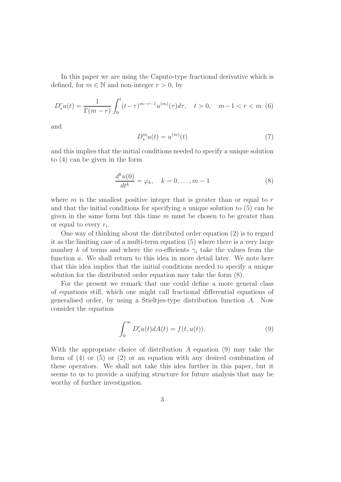In this paper we are using the Caputo-type fractional derivative which is defined, for  $m \in \mathbb{N}$  and non-integer  $r > 0$ , by

$$
D_{*}^{r}u(t) = \frac{1}{\Gamma(m-r)} \int_{0}^{t} (t-\tau)^{m-r-1} u^{(m)}(\tau) d\tau, \quad t > 0, \quad m-1 < r < m \tag{6}
$$

and

$$
D_*^m u(t) = u^{(m)}(t)
$$
\n<sup>(7)</sup>

and this implies that the initial conditions needed to specify a unique solution to (4) can be given in the form

$$
\frac{d^k u(0)}{dt^k} = \varphi_k, \quad k = 0, \dots, m-1
$$
\n(8)

where  $m$  is the smallest positive integer that is greater than or equal to  $r$ and that the initial conditions for specifying a unique solution to (5) can be given in the same form but this time  $m$  must be chosen to be greater than or equal to every  $r_i$ .

One way of thinking about the distributed order equation (2) is to regard it as the limiting case of a multi-term equation (5) where there is a very large number k of terms and where the co-efficients  $\gamma_i$  take the values from the function a. We shall return to this idea in more detail later. We note here that this idea implies that the initial conditions needed to specify a unique solution for the distributed order equation may take the form (8).

For the present we remark that one could define a more general class of equations still, which one might call fractional differential equations of generalised order, by using a Stieltjes-type distribution function A. Now consider the equation

$$
\int_0^\infty D_*^r u(t) dA(t) = f(t, u(t)).
$$
\n(9)

With the appropriate choice of distribution A equation (9) may take the form of  $(4)$  or  $(5)$  or  $(2)$  or an equation with any desired combination of these operators. We shall not take this idea further in this paper, but it seems to us to provide a unifying structure for future analysis that may be worthy of further investigation.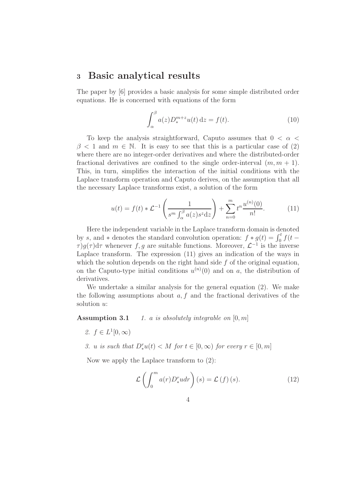### <sup>3</sup> Basic analytical results

The paper by [6] provides a basic analysis for some simple distributed order equations. He is concerned with equations of the form

$$
\int_{\alpha}^{\beta} a(z) D_{\ast}^{m+z} u(t) \, \mathrm{d}z = f(t). \tag{10}
$$

To keep the analysis straightforward, Caputo assumes that  $0 < \alpha <$  $\beta$  < 1 and  $m \in \mathbb{N}$ . It is easy to see that this is a particular case of (2) where there are no integer-order derivatives and where the distributed-order fractional derivatives are confined to the single order-interval  $(m, m + 1)$ . This, in turn, simplifies the interaction of the initial conditions with the Laplace transform operation and Caputo derives, on the assumption that all the necessary Laplace transforms exist, a solution of the form

$$
u(t) = f(t) * \mathcal{L}^{-1}\left(\frac{1}{s^m \int_{\alpha}^{\beta} a(z) s^z \, dz}\right) + \sum_{n=0}^{m} t^n \frac{u^{(n)}(0)}{n!}.\tag{11}
$$

Here the independent variable in the Laplace transform domain is denoted by s, and \* denotes the standard convolution operation:  $f * g(t) = \int_0^t f(t \tau$ )g( $\tau$ )d $\tau$  whenever f, g are suitable functions. Moreover,  $\mathcal{L}^{-1}$  is the inverse Laplace transform. The expression (11) gives an indication of the ways in which the solution depends on the right hand side  $f$  of the original equation, on the Caputo-type initial conditions  $u^{(n)}(0)$  and on a, the distribution of derivatives.

We undertake a similar analysis for the general equation (2). We make the following assumptions about  $a, f$  and the fractional derivatives of the solution u:

**Assumption 3.1** 1. a is absolutely integrable on  $[0, m]$ 

- 2.  $f \in L^1[0,\infty)$
- 3. u is such that  $D_{\ast}^{r}u(t) < M$  for  $t \in [0,\infty)$  for every  $r \in [0,m]$

Now we apply the Laplace transform to (2):

$$
\mathcal{L}\left(\int_{0}^{m} a(r)D_{*}^{r} u dr\right)(s) = \mathcal{L}\left(f\right)(s). \tag{12}
$$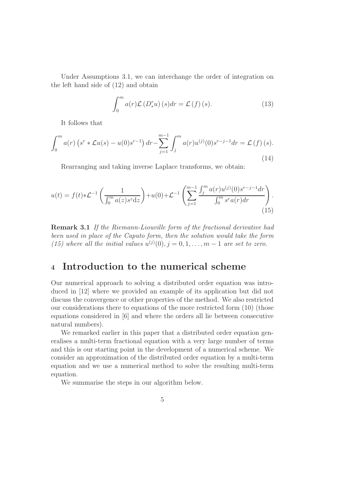Under Assumptions 3.1, we can interchange the order of integration on the left hand side of (12) and obtain

$$
\int_{0}^{m} a(r)\mathcal{L}\left(D_{*}^{r} u\right)(s) dr = \mathcal{L}\left(f\right)(s). \tag{13}
$$

It follows that

$$
\int_0^m a(r) \left(s^r * \mathcal{L}u(s) - u(0)s^{r-1}\right) dr - \sum_{j=1}^{m-1} \int_j^m a(r) u^{(j)}(0)s^{r-j-1} dr = \mathcal{L}(f)(s).
$$
\n(14)

Rearranging and taking inverse Laplace transforms, we obtain:

$$
u(t) = f(t) * \mathcal{L}^{-1}\left(\frac{1}{\int_0^m a(z)s^z dz}\right) + u(0) + \mathcal{L}^{-1}\left(\sum_{j=1}^{m-1} \frac{\int_j^m a(r)u^{(j)}(0)s^{r-j-1} dr}{\int_0^m s^r a(r) dr}\right).
$$
\n(15)

Remark 3.1 If the Riemann-Liouville form of the fractional derivative had been used in place of the Caputo form, then the solution would take the form (15) where all the initial values  $u^{(j)}(0), j = 0, 1, \ldots, m-1$  are set to zero.

## <sup>4</sup> Introduction to the numerical scheme

Our numerical approach to solving a distributed order equation was introduced in [12] where we provided an example of its application but did not discuss the convergence or other properties of the method. We also restricted our considerations there to equations of the more restricted form (10) (those equations considered in [6] and where the orders all lie between consecutive natural numbers).

We remarked earlier in this paper that a distributed order equation generalises a multi-term fractional equation with a very large number of terms and this is our starting point in the development of a numerical scheme. We consider an approximation of the distributed order equation by a multi-term equation and we use a numerical method to solve the resulting multi-term equation.

We summarise the steps in our algorithm below.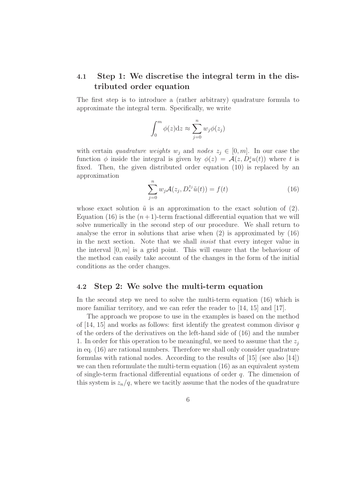### 4.1 Step 1: We discretise the integral term in the distributed order equation

The first step is to introduce a (rather arbitrary) quadrature formula to approximate the integral term. Specifically, we write

$$
\int_0^m \phi(z) dz \approx \sum_{j=0}^n w_j \phi(z_j)
$$

with certain *quadrature weights*  $w_j$  and nodes  $z_j \in [0, m]$ . In our case the function  $\phi$  inside the integral is given by  $\phi(z) = \mathcal{A}(z, D_x^z u(t))$  where t is fixed. Then, the given distributed order equation (10) is replaced by an approximation

$$
\sum_{j=0}^{n} w_j \mathcal{A}(z_j, D_*^{z_j} \tilde{u}(t)) = f(t)
$$
\n(16)

whose exact solution  $\tilde{u}$  is an approximation to the exact solution of (2). Equation (16) is the  $(n+1)$ -term fractional differential equation that we will solve numerically in the second step of our procedure. We shall return to analyse the error in solutions that arise when (2) is approximated by (16) in the next section. Note that we shall insist that every integer value in the interval  $[0, m]$  is a grid point. This will ensure that the behaviour of the method can easily take account of the changes in the form of the initial conditions as the order changes.

#### 4.2 Step 2: We solve the multi-term equation

In the second step we need to solve the multi-term equation (16) which is more familiar territory, and we can refer the reader to [14, 15] and [17].

The approach we propose to use in the examples is based on the method of  $[14, 15]$  and works as follows: first identify the greatest common divisor q of the orders of the derivatives on the left-hand side of (16) and the number 1. In order for this operation to be meaningful, we need to assume that the  $z_i$ in eq. (16) are rational numbers. Therefore we shall only consider quadrature formulas with rational nodes. According to the results of [15] (see also [14]) we can then reformulate the multi-term equation (16) as an equivalent system of single-term fractional differential equations of order  $q$ . The dimension of this system is  $z_n/q$ , where we tacitly assume that the nodes of the quadrature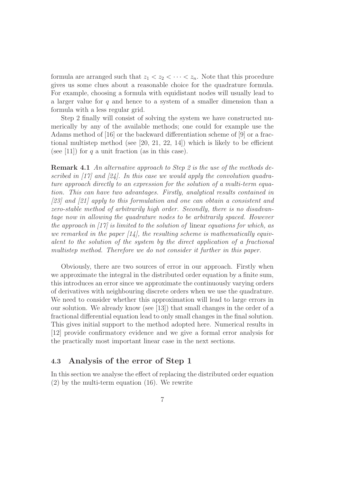formula are arranged such that  $z_1 < z_2 < \cdots < z_n$ . Note that this procedure gives us some clues about a reasonable choice for the quadrature formula. For example, choosing a formula with equidistant nodes will usually lead to a larger value for  $q$  and hence to a system of a smaller dimension than a formula with a less regular grid.

Step 2 finally will consist of solving the system we have constructed numerically by any of the available methods; one could for example use the Adams method of [16] or the backward differentiation scheme of [9] or a fractional multistep method (see  $[20, 21, 22, 14]$ ) which is likely to be efficient (see [11]) for q a unit fraction (as in this case).

Remark 4.1 An alternative approach to Step 2 is the use of the methods described in  $\left[17\right]$  and  $\left[24\right]$ . In this case we would apply the convolution quadrature approach directly to an expression for the solution of a multi-term equation. This can have two advantages. Firstly, analytical results contained in [23] and [21] apply to this formulation and one can obtain a consistent and zero-stable method of arbitrarily high order. Secondly, there is no disadvantage now in allowing the quadrature nodes to be arbitrarily spaced. However the approach in  $\left[17\right]$  is limited to the solution of linear equations for which, as we remarked in the paper  $(14)$ , the resulting scheme is mathematically equivalent to the solution of the system by the direct application of a fractional multistep method. Therefore we do not consider it further in this paper.

Obviously, there are two sources of error in our approach. Firstly when we approximate the integral in the distributed order equation by a finite sum, this introduces an error since we approximate the continuously varying orders of derivatives with neighbouring discrete orders when we use the quadrature. We need to consider whether this approximation will lead to large errors in our solution. We already know (see [13]) that small changes in the order of a fractional differential equation lead to only small changes in the final solution. This gives initial support to the method adopted here. Numerical results in [12] provide confirmatory evidence and we give a formal error analysis for the practically most important linear case in the next sections.

#### 4.3 Analysis of the error of Step 1

In this section we analyse the effect of replacing the distributed order equation (2) by the multi-term equation (16). We rewrite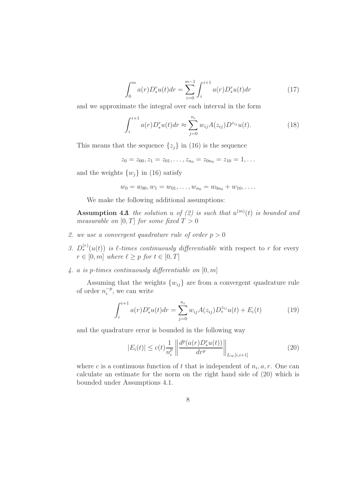$$
\int_0^m a(r) D_*^r u(t) dr = \sum_{i=0}^{m-1} \int_i^{i+1} a(r) D_*^r u(t) dr \tag{17}
$$

and we approximate the integral over each interval in the form

$$
\int_{i}^{i+1} a(r) D_{*}^{r} u(t) dr \approx \sum_{j=0}^{n_{i}} w_{ij} A(z_{ij}) D^{z_{ij}} u(t).
$$
 (18)

This means that the sequence  $\{z_j\}$  in (16) is the sequence

$$
z_0 = z_{00}, z_1 = z_{01}, \ldots, z_{n_0} = z_{0n_0} = z_{10} = 1, \ldots
$$

and the weights  $\{w_i\}$  in (16) satisfy

$$
w_0 = w_{00}, w_1 = w_{01}, \dots, w_{n_0} = w_{0n_0} + w_{10}, \dots
$$

We make the following additional assumptions:

**Assumption 4.1** the solution u of (2) is such that  $u^{(m)}(t)$  is bounded and measurable on  $[0, T]$  for some fixed  $T > 0$ 

- 2. we use a convergent quadrature rule of order  $p > 0$
- 3.  $D_{*}^{(r)}(u(t))$  is l-times continuously differentiable with respect to r for every  $r \in [0, m]$  where  $\ell \geq p$  for  $t \in [0, T]$
- 4. a is p-times continuously differentiable on  $[0, m]$

Assuming that the weights  $\{w_{ij}\}$  are from a convergent quadrature rule of order  $n_i^{-p}$  $i^{p}$ , we can write

$$
\int_{i}^{i+1} a(r) D_{*}^{r} u(t) dr = \sum_{j=0}^{n_{i}} w_{ij} A(z_{ij}) D_{*}^{z_{ij}} u(t) + E_{i}(t)
$$
 (19)

and the quadrature error is bounded in the following way

$$
|E_i(t)| \le c(t) \frac{1}{n_i^p} \left\| \frac{d^p(a(r) D_*^r u(t))}{dr^p} \right\|_{L_\infty[i, i+1]}
$$
 (20)

where c is a continuous function of t that is independent of  $n_i, a, r$ . One can calculate an estimate for the norm on the right hand side of (20) which is bounded under Assumptions 4.1.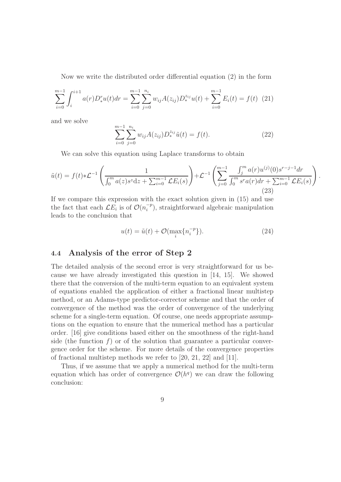Now we write the distributed order differential equation (2) in the form

$$
\sum_{i=0}^{m-1} \int_{i}^{i+1} a(r) D_{*}^{r} u(t) dr = \sum_{i=0}^{m-1} \sum_{j=0}^{n_i} w_{ij} A(z_{ij}) D_{*}^{z_{ij}} u(t) + \sum_{i=0}^{m-1} E_{i}(t) = f(t) \tag{21}
$$

and we solve

$$
\sum_{i=0}^{m-1} \sum_{j=0}^{n_i} w_{ij} A(z_{ij}) D_*^{z_{ij}} \tilde{u}(t) = f(t).
$$
 (22)

We can solve this equation using Laplace transforms to obtain

$$
\tilde{u}(t) = f(t) * \mathcal{L}^{-1}\left(\frac{1}{\int_0^m a(z)s^z dz + \sum_{i=0}^{m-1} \mathcal{L}E_i(s)}\right) + \mathcal{L}^{-1}\left(\sum_{j=0}^{m-1} \frac{\int_j^m a(r)u^{(j)}(0)s^{r-j-1} dr}{\int_0^m s^r a(r) dr + \sum_{i=0}^{m-1} \mathcal{L}E_i(s)}\right).
$$
\n(23)

If we compare this expression with the exact solution given in (15) and use the fact that each  $\mathcal{L}E_i$  is of  $\mathcal{O}(n_i^{-p})$  $\binom{-p}{i}$ , straightforward algebraic manipulation leads to the conclusion that

$$
u(t) = \tilde{u}(t) + \mathcal{O}(\max_{i} \{n_i^{-p}\}).
$$
\n(24)

#### 4.4 Analysis of the error of Step 2

The detailed analysis of the second error is very straightforward for us because we have already investigated this question in [14, 15]. We showed there that the conversion of the multi-term equation to an equivalent system of equations enabled the application of either a fractional linear multistep method, or an Adams-type predictor-corrector scheme and that the order of convergence of the method was the order of convergence of the underlying scheme for a single-term equation. Of course, one needs appropriate assumptions on the equation to ensure that the numerical method has a particular order. [16] give conditions based either on the smoothness of the right-hand side (the function  $f$ ) or of the solution that guarantee a particular convergence order for the scheme. For more details of the convergence properties of fractional multistep methods we refer to [20, 21, 22] and [11].

Thus, if we assume that we apply a numerical method for the multi-term equation which has order of convergence  $\mathcal{O}(h^q)$  we can draw the following conclusion: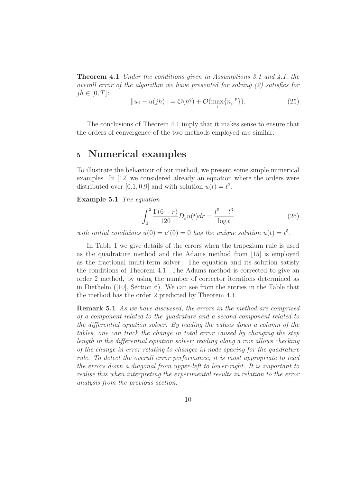**Theorem 4.1** Under the conditions given in Assumptions 3.1 and 4.1, the overall error of the algorithm we have presented for solving (2) satisfies for  $jh \in [0, T]$ :

$$
||u_j - u(jh)|| = \mathcal{O}(h^q) + \mathcal{O}(\max_i \{n_i^{-p}\}).
$$
\n(25)

The conclusions of Theorem 4.1 imply that it makes sense to ensure that the orders of convergence of the two methods employed are similar.

## <sup>5</sup> Numerical examples

To illustrate the behaviour of our method, we present some simple numerical examples. In [12] we considered already an equation where the orders were distributed over [0.1, 0.9] and with solution  $u(t) = t^2$ .

Example 5.1 The equation

$$
\int_0^2 \frac{\Gamma(6-r)}{120} D_*^r u(t) dr = \frac{t^5 - t^3}{\log t} \tag{26}
$$

with initial conditions  $u(0) = u'(0) = 0$  has the unique solution  $u(t) = t^5$ .

In Table 1 we give details of the errors when the trapezium rule is used as the quadrature method and the Adams method from [15] is employed as the fractional multi-term solver. The equation and its solution satisfy the conditions of Theorem 4.1. The Adams method is corrected to give an order 2 method, by using the number of corrector iterations determined as in Diethelm ([10], Section 6). We can see from the entries in the Table that the method has the order 2 predicted by Theorem 4.1.

Remark 5.1 As we have discussed, the errors in the method are comprised of a component related to the quadrature and a second component related to the differential equation solver. By reading the values down a column of the tables, one can track the change in total error caused by changing the step length in the differential equation solver; reading along a row allows checking of the change in error relating to changes in node-spacing for the quadrature rule. To detect the overall error performance, it is most appropriate to read the errors down a diagonal from upper-left to lower-right. It is important to realise this when interpreting the experimental results in relation to the error analysis from the previous section.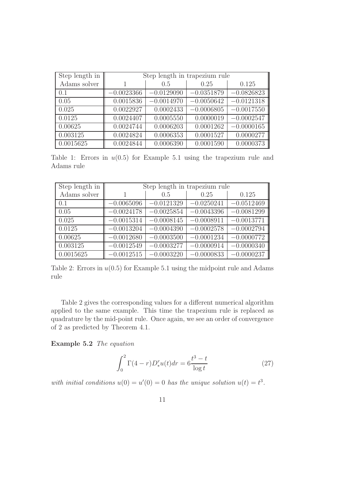| Step length in | Step length in trapezium rule |              |              |              |
|----------------|-------------------------------|--------------|--------------|--------------|
| Adams solver   |                               | 0.5          | 0.25         | 0.125        |
| 0.1            | $-0.0023366$                  | $-0.0129090$ | $-0.0351879$ | $-0.0826823$ |
| 0.05           | 0.0015836                     | $-0.0014970$ | $-0.0050642$ | $-0.0121318$ |
| 0.025          | 0.0022927                     | 0.0002433    | $-0.0006805$ | $-0.0017550$ |
| 0.0125         | 0.0024407                     | 0.0005550    | 0.0000019    | $-0.0002547$ |
| 0.00625        | 0.0024744                     | 0.0006203    | 0.0001262    | $-0.0000165$ |
| 0.003125       | 0.0024824                     | 0.0006353    | 0.0001527    | 0.0000277    |
| 0.0015625      | 0.0024844                     | 0.0006390    | 0.0001590    | 0.0000373    |

Table 1: Errors in  $u(0.5)$  for Example 5.1 using the trapezium rule and Adams rule

| Step length in | Step length in trapezium rule |              |              |              |
|----------------|-------------------------------|--------------|--------------|--------------|
| Adams solver   |                               | 0.5          | 0.25         | 0.125        |
| 0.1            | $-0.0065096$                  | $-0.0121329$ | $-0.0250241$ | $-0.0512469$ |
| 0.05           | $-0.0024178$                  | $-0.0025854$ | $-0.0043396$ | $-0.0081299$ |
| 0.025          | $-0.0015314$                  | $-0.0008145$ | $-0.0008911$ | $-0.0013771$ |
| 0.0125         | $-0.0013204$                  | $-0.0004390$ | $-0.0002578$ | $-0.0002794$ |
| 0.00625        | $-0.0012680$                  | $-0.0003500$ | $-0.0001234$ | $-0.0000772$ |
| 0.003125       | $-0.0012549$                  | $-0.0003277$ | $-0.0000914$ | $-0.0000340$ |
| 0.0015625      | $-0.0012515$                  | $-0.0003220$ | $-0.0000833$ | $-0.0000237$ |

Table 2: Errors in  $u(0.5)$  for Example 5.1 using the midpoint rule and Adams rule

Table 2 gives the corresponding values for a different numerical algorithm applied to the same example. This time the trapezium rule is replaced as quadrature by the mid-point rule. Once again, we see an order of convergence of 2 as predicted by Theorem 4.1.

Example 5.2 The equation

$$
\int_{0}^{2} \Gamma(4-r) D_{*}^{r} u(t) dr = 6 \frac{t^{3} - t}{\log t}
$$
 (27)

with initial conditions  $u(0) = u'(0) = 0$  has the unique solution  $u(t) = t^3$ .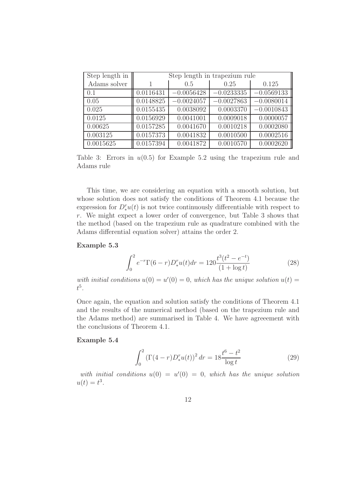| Step length in | Step length in trapezium rule |              |              |              |
|----------------|-------------------------------|--------------|--------------|--------------|
| Adams solver   |                               | 0.5          | 0.25         | 0.125        |
| 0.1            | 0.0116431                     | $-0.0056428$ | $-0.0233335$ | $-0.0569133$ |
| 0.05           | 0.0148825                     | $-0.0024057$ | $-0.0027863$ | $-0.0080014$ |
| 0.025          | 0.0155435                     | 0.0038092    | 0.0003370    | $-0.0010843$ |
| 0.0125         | 0.0156929                     | 0.0041001    | 0.0009018    | 0.0000057    |
| 0.00625        | 0.0157285                     | 0.0041670    | 0.0010218    | 0.0002080    |
| 0.003125       | 0.0157373                     | 0.0041832    | 0.0010500    | 0.0002516    |
| 0.0015625      | 0.0157394                     | 0.0041872    | 0.0010570    | 0.0002620    |

Table 3: Errors in  $u(0.5)$  for Example 5.2 using the trapezium rule and Adams rule

This time, we are considering an equation with a smooth solution, but whose solution does not satisfy the conditions of Theorem 4.1 because the expression for  $D_{\ast}^{r}u(t)$  is not twice continuously differentiable with respect to r. We might expect a lower order of convergence, but Table 3 shows that the method (based on the trapezium rule as quadrature combined with the Adams differential equation solver) attains the order 2.

#### Example 5.3

$$
\int_0^2 e^{-r} \Gamma(6-r) D_*^r u(t) dr = 120 \frac{t^3 (t^2 - e^{-t})}{(1 + \log t)}
$$
(28)

with initial conditions  $u(0) = u'(0) = 0$ , which has the unique solution  $u(t) =$  $t^5$ .

Once again, the equation and solution satisfy the conditions of Theorem 4.1 and the results of the numerical method (based on the trapezium rule and the Adams method) are summarised in Table 4. We have agreeement with the conclusions of Theorem 4.1.

#### Example 5.4

$$
\int_0^2 \left(\Gamma(4-r)D_*^r u(t)\right)^2 dr = 18 \frac{t^6 - t^2}{\log t}
$$
 (29)

with initial conditions  $u(0) = u'(0) = 0$ , which has the unique solution  $u(t) = t^3$ .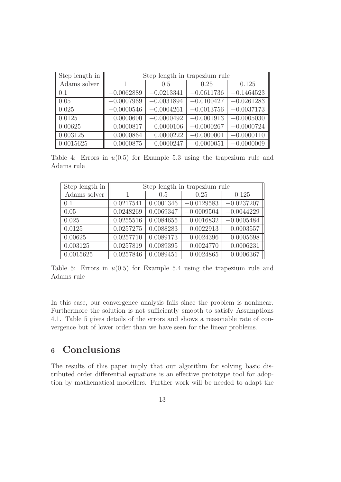| Step length in | Step length in trapezium rule |              |              |              |
|----------------|-------------------------------|--------------|--------------|--------------|
| Adams solver   |                               | 0.5          | 0.25         | 0.125        |
| 0.1            | $-0.0062889$                  | $-0.0213341$ | $-0.0611736$ | $-0.1464523$ |
| 0.05           | $-0.0007969$                  | $-0.0031894$ | $-0.0100427$ | $-0.0261283$ |
| 0.025          | $-0.0000546$                  | $-0.0004261$ | $-0.0013756$ | $-0.0037173$ |
| 0.0125         | 0.0000600                     | $-0.0000492$ | $-0.0001913$ | $-0.0005030$ |
| 0.00625        | 0.0000817                     | 0.0000106    | $-0.0000267$ | $-0.0000724$ |
| 0.003125       | 0.0000864                     | 0.0000222    | $-0.0000001$ | $-0.0000110$ |
| 0.0015625      | 0.0000875                     | 0.0000247    | 0.0000051    | $-0.0000009$ |

Table 4: Errors in  $u(0.5)$  for Example 5.3 using the trapezium rule and Adams rule

| Step length in | Step length in trapezium rule |           |              |              |
|----------------|-------------------------------|-----------|--------------|--------------|
| Adams solver   |                               | 0.5       | 0.25         | 0.125        |
| 0.1            | 0.0217541                     | 0.0001346 | $-0.0129583$ | $-0.0237207$ |
| 0.05           | 0.0248269                     | 0.0069347 | $-0.0009504$ | $-0.0044229$ |
| 0.025          | 0.0255516                     | 0.0084655 | 0.0016832    | $-0.0005484$ |
| 0.0125         | 0.0257275                     | 0.0088283 | 0.0022913    | 0.0003557    |
| 0.00625        | 0.0257710                     | 0.0089173 | 0.0024396    | 0.0005698    |
| 0.003125       | 0.0257819                     | 0.0089395 | 0.0024770    | 0.0006231    |
| 0.0015625      | 0.0257846                     | 0.0089451 | 0.0024865    | 0.0006367    |

Table 5: Errors in  $u(0.5)$  for Example 5.4 using the trapezium rule and Adams rule

In this case, our convergence analysis fails since the problem is nonlinear. Furthermore the solution is not sufficiently smooth to satisfy Assumptions 4.1. Table 5 gives details of the errors and shows a reasonable rate of convergence but of lower order than we have seen for the linear problems.

## <sup>6</sup> Conclusions

The results of this paper imply that our algorithm for solving basic distributed order differential equations is an effective prototype tool for adoption by mathematical modellers. Further work will be needed to adapt the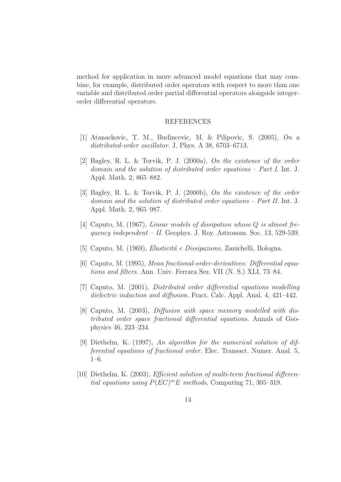method for application in more advanced model equations that may combine, for example, distributed order operators with respect to more than one variable and distributed order partial differential operators alongside integerorder differential operators.

#### REFERENCES

- [1] Atanackovic, T. M., Budincevic, M. & Pilipovic, S. (2005), On a distributed-order oscillator. J. Phys. A 38, 6703-6713.
- [2] Bagley, R. L. & Torvik, P. J. (2000a), On the existence of the order domain and the solution of distributed order equations – Part I. Int. J. Appl. Math. 2, 865–882.
- [3] Bagley, R. L. & Torvik, P. J. (2000b), On the existence of the order domain and the solution of distributed order equations – Part II. Int. J. Appl. Math. 2, 965–987.
- [4] Caputo, M. (1967), Linear models of dissipation whose Q is almost frequency independent – II. Geophys. J. Roy. Astronom. Soc. 13, 529-539.
- [5] Caputo, M. (1969), *Elasticitá e Dissipazione*. Zanichelli, Bologna.
- [6] Caputo, M. (1995), Mean fractional-order-derivatives: Differential equations and filters. Ann. Univ. Ferrara Sez. VII (N. S.) XLI, 73–84.
- [7] Caputo, M. (2001), Distributed order differential equations modelling dielectric induction and diffusion. Fract. Calc. Appl. Anal. 4, 421–442.
- [8] Caputo, M. (2003), *Diffusion with space memory modelled with dis*tributed order space fractional differential equations. Annals of Geophysics 46, 223–234.
- [9] Diethelm, K. (1997), An algorithm for the numerical solution of differential equations of fractional order. Elec. Transact. Numer. Anal. 5, 1–6.
- [10] Diethelm, K. (2003), Efficient solution of multi-term fractional differential equations using  $P(EC)^mE$  methods, Computing 71, 305-319.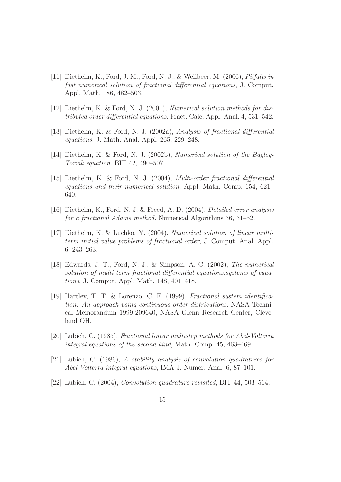- [11] Diethelm, K., Ford, J. M., Ford, N. J., & Weilbeer, M. (2006), Pitfalls in fast numerical solution of fractional differential equations, J. Comput. Appl. Math. 186, 482–503.
- [12] Diethelm, K. & Ford, N. J. (2001), Numerical solution methods for distributed order differential equations. Fract. Calc. Appl. Anal. 4, 531–542.
- [13] Diethelm, K. & Ford, N. J. (2002a), Analysis of fractional differential equations. J. Math. Anal. Appl. 265, 229–248.
- [14] Diethelm, K. & Ford, N. J. (2002b), Numerical solution of the Bagley-Torvik equation. BIT 42, 490–507.
- [15] Diethelm, K. & Ford, N. J. (2004), Multi-order fractional differential equations and their numerical solution. Appl. Math. Comp. 154, 621– 640.
- [16] Diethelm, K., Ford, N. J. & Freed, A. D. (2004), Detailed error analysis for a fractional Adams method. Numerical Algorithms 36, 31–52.
- [17] Diethelm, K. & Luchko, Y. (2004), Numerical solution of linear multiterm initial value problems of fractional order, J. Comput. Anal. Appl. 6, 243–263.
- [18] Edwards, J. T., Ford, N. J., & Simpson, A. C. (2002), The numerical solution of multi-term fractional differential equations: systems of equations, J. Comput. Appl. Math. 148, 401–418.
- [19] Hartley, T. T. & Lorenzo, C. F. (1999), Fractional system identification: An approach using continuous order-distributions. NASA Technical Memorandum 1999-209640, NASA Glenn Research Center, Cleveland OH.
- [20] Lubich, C. (1985), Fractional linear multistep methods for Abel-Volterra integral equations of the second kind, Math. Comp. 45, 463–469.
- [21] Lubich, C. (1986), A stability analysis of convolution quadratures for Abel-Volterra integral equations, IMA J. Numer. Anal. 6, 87–101.
- [22] Lubich, C. (2004), Convolution quadrature revisited, BIT 44, 503–514.